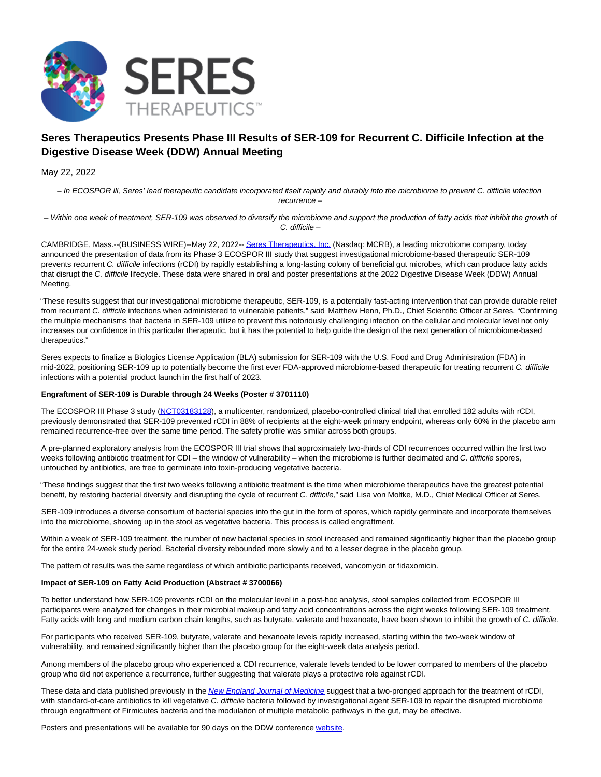

# **Seres Therapeutics Presents Phase III Results of SER-109 for Recurrent C. Difficile Infection at the Digestive Disease Week (DDW) Annual Meeting**

May 22, 2022

– In ECOSPOR lll, Seres' lead therapeutic candidate incorporated itself rapidly and durably into the microbiome to prevent C. difficile infection recurrence –

– Within one week of treatment, SER-109 was observed to diversify the microbiome and support the production of fatty acids that inhibit the growth of C. difficile –

CAMBRIDGE, Mass.--(BUSINESS WIRE)--May 22, 2022-- [Seres Therapeutics, Inc. \(](https://cts.businesswire.com/ct/CT?id=smartlink&url=http%3A%2F%2Fwww.serestherapeutics.com%2F&esheet=52726266&newsitemid=20220522005035&lan=en-US&anchor=Seres+Therapeutics%2C+Inc.&index=1&md5=e43a1bcfdfce150b2d22c756a5a52030)Nasdaq: MCRB), a leading microbiome company, today announced the presentation of data from its Phase 3 ECOSPOR III study that suggest investigational microbiome-based therapeutic SER-109 prevents recurrent C. difficile infections (rCDI) by rapidly establishing a long-lasting colony of beneficial gut microbes, which can produce fatty acids that disrupt the C. difficile lifecycle. These data were shared in oral and poster presentations at the 2022 Digestive Disease Week (DDW) Annual Meeting.

"These results suggest that our investigational microbiome therapeutic, SER-109, is a potentially fast-acting intervention that can provide durable relief from recurrent C. difficile infections when administered to vulnerable patients," said Matthew Henn, Ph.D., Chief Scientific Officer at Seres. "Confirming the multiple mechanisms that bacteria in SER-109 utilize to prevent this notoriously challenging infection on the cellular and molecular level not only increases our confidence in this particular therapeutic, but it has the potential to help guide the design of the next generation of microbiome-based therapeutics."

Seres expects to finalize a Biologics License Application (BLA) submission for SER-109 with the U.S. Food and Drug Administration (FDA) in mid-2022, positioning SER-109 up to potentially become the first ever FDA-approved microbiome-based therapeutic for treating recurrent C. difficile infections with a potential product launch in the first half of 2023.

## **Engraftment of SER-109 is Durable through 24 Weeks (Poster # 3701110)**

The ECOSPOR III Phase 3 study [\(NCT03183128\)](https://cts.businesswire.com/ct/CT?id=smartlink&url=https%3A%2F%2Fclinicaltrials.gov%2Fct2%2Fshow%2FNCT03183128&esheet=52726266&newsitemid=20220522005035&lan=en-US&anchor=NCT03183128&index=2&md5=faf8a2a3a0eb6bfba446633181023dfa), a multicenter, randomized, placebo-controlled clinical trial that enrolled 182 adults with rCDI, previously demonstrated that SER-109 prevented rCDI in 88% of recipients at the eight-week primary endpoint, whereas only 60% in the placebo arm remained recurrence-free over the same time period. The safety profile was similar across both groups.

A pre-planned exploratory analysis from the ECOSPOR III trial shows that approximately two-thirds of CDI recurrences occurred within the first two weeks following antibiotic treatment for CDI – the window of vulnerability – when the microbiome is further decimated and C. difficile spores, untouched by antibiotics, are free to germinate into toxin-producing vegetative bacteria.

"These findings suggest that the first two weeks following antibiotic treatment is the time when microbiome therapeutics have the greatest potential benefit, by restoring bacterial diversity and disrupting the cycle of recurrent C. difficile," said Lisa von Moltke, M.D., Chief Medical Officer at Seres.

SER-109 introduces a diverse consortium of bacterial species into the gut in the form of spores, which rapidly germinate and incorporate themselves into the microbiome, showing up in the stool as vegetative bacteria. This process is called engraftment.

Within a week of SER-109 treatment, the number of new bacterial species in stool increased and remained significantly higher than the placebo group for the entire 24-week study period. Bacterial diversity rebounded more slowly and to a lesser degree in the placebo group.

The pattern of results was the same regardless of which antibiotic participants received, vancomycin or fidaxomicin.

## **Impact of SER-109 on Fatty Acid Production (Abstract # 3700066)**

To better understand how SER-109 prevents rCDI on the molecular level in a post-hoc analysis, stool samples collected from ECOSPOR III participants were analyzed for changes in their microbial makeup and fatty acid concentrations across the eight weeks following SER-109 treatment. Fatty acids with long and medium carbon chain lengths, such as butyrate, valerate and hexanoate, have been shown to inhibit the growth of C. difficile.

For participants who received SER-109, butyrate, valerate and hexanoate levels rapidly increased, starting within the two-week window of vulnerability, and remained significantly higher than the placebo group for the eight-week data analysis period.

Among members of the placebo group who experienced a CDI recurrence, valerate levels tended to be lower compared to members of the placebo group who did not experience a recurrence, further suggesting that valerate plays a protective role against rCDI.

These data and data published previously in the [New England Journal of Medicine](https://cts.businesswire.com/ct/CT?id=smartlink&url=https%3A%2F%2Fwww.nejm.org%2Fdoi%2F10.1056%2FNEJMoa2106516&esheet=52726266&newsitemid=20220522005035&lan=en-US&anchor=New+England+Journal+of+Medicine&index=3&md5=692b8361cf4081e63bc675e5b5b5364f) suggest that a two-pronged approach for the treatment of rCDI, with standard-of-care antibiotics to kill vegetative C. difficile bacteria followed by investigational agent SER-109 to repair the disrupted microbiome through engraftment of Firmicutes bacteria and the modulation of multiple metabolic pathways in the gut, may be effective.

Posters and presentations will be available for 90 days on the DDW conference [website.](https://cts.businesswire.com/ct/CT?id=smartlink&url=https%3A%2F%2Fddw.org%2F&esheet=52726266&newsitemid=20220522005035&lan=en-US&anchor=website&index=4&md5=c3c6a16485d89deeebdc6132c79aaf11)